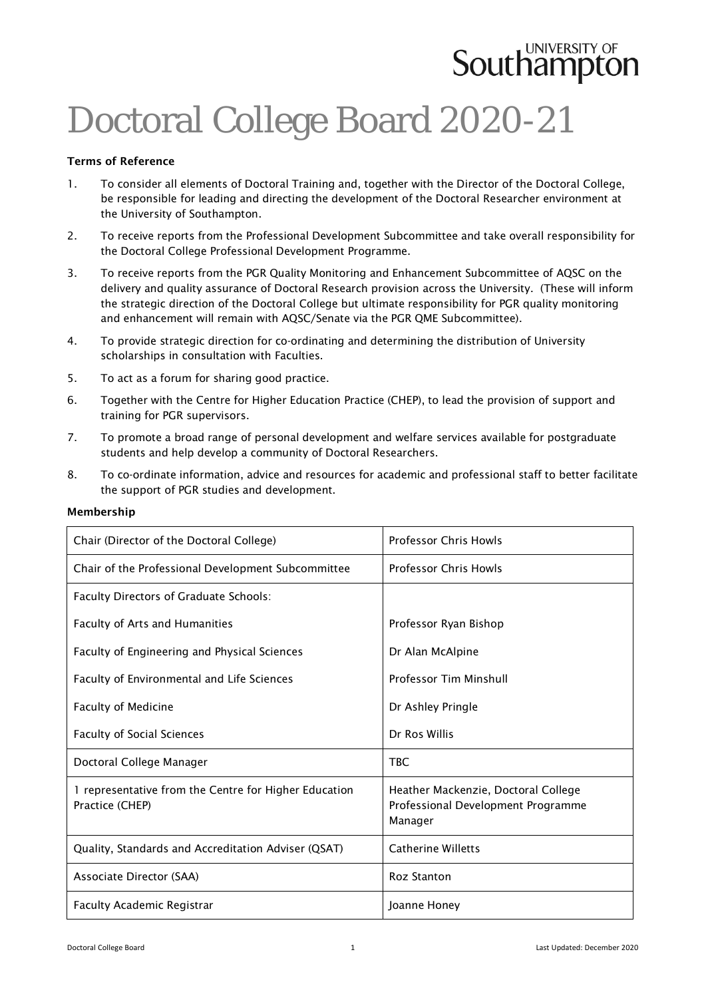# **Southampton**

### Doctoral College Board 2020-21

### Terms of Reference

- 1. To consider all elements of Doctoral Training and, together with the Director of the Doctoral College, be responsible for leading and directing the development of the Doctoral Researcher environment at the University of Southampton.
- 2. To receive reports from the Professional Development Subcommittee and take overall responsibility for the Doctoral College Professional Development Programme.
- 3. To receive reports from the PGR Quality Monitoring and Enhancement Subcommittee of AQSC on the delivery and quality assurance of Doctoral Research provision across the University. (These will inform the strategic direction of the Doctoral College but ultimate responsibility for PGR quality monitoring and enhancement will remain with AQSC/Senate via the PGR QME Subcommittee).
- 4. To provide strategic direction for co-ordinating and determining the distribution of University scholarships in consultation with Faculties.
- 5. To act as a forum for sharing good practice.
- 6. Together with the Centre for Higher Education Practice (CHEP), to lead the provision of support and training for PGR supervisors.
- 7. To promote a broad range of personal development and welfare services available for postgraduate students and help develop a community of Doctoral Researchers.
- 8. To co-ordinate information, advice and resources for academic and professional staff to better facilitate the support of PGR studies and development.

| Chair (Director of the Doctoral College)                                 | <b>Professor Chris Howls</b>                                                         |
|--------------------------------------------------------------------------|--------------------------------------------------------------------------------------|
| Chair of the Professional Development Subcommittee                       | <b>Professor Chris Howls</b>                                                         |
| Faculty Directors of Graduate Schools:                                   |                                                                                      |
| Faculty of Arts and Humanities                                           | Professor Ryan Bishop                                                                |
| Faculty of Engineering and Physical Sciences                             | Dr Alan McAlpine                                                                     |
| Faculty of Environmental and Life Sciences                               | Professor Tim Minshull                                                               |
| <b>Faculty of Medicine</b>                                               | Dr Ashley Pringle                                                                    |
| <b>Faculty of Social Sciences</b>                                        | Dr Ros Willis                                                                        |
| Doctoral College Manager                                                 | <b>TBC</b>                                                                           |
| 1 representative from the Centre for Higher Education<br>Practice (CHEP) | Heather Mackenzie, Doctoral College<br>Professional Development Programme<br>Manager |
| Quality, Standards and Accreditation Adviser (QSAT)                      | <b>Catherine Willetts</b>                                                            |
| Associate Director (SAA)                                                 | <b>Roz Stanton</b>                                                                   |
| <b>Faculty Academic Registrar</b>                                        | Joanne Honey                                                                         |

### Membership